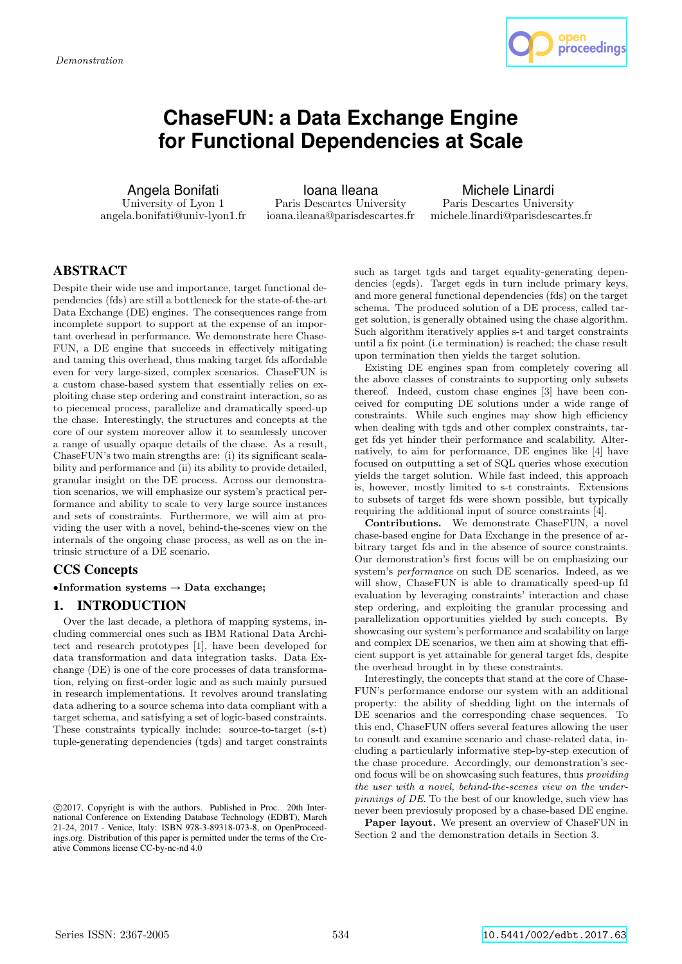

# **ChaseFUN: a Data Exchange Engine for Functional Dependencies at Scale**

Angela Bonifati University of Lyon 1 angela.bonifati@univ-lyon1.fr

Ioana Ileana Paris Descartes University ioana.ileana@parisdescartes.fr

Michele Linardi Paris Descartes University michele.linardi@parisdescartes.fr

## ABSTRACT

Despite their wide use and importance, target functional dependencies (fds) are still a bottleneck for the state-of-the-art Data Exchange (DE) engines. The consequences range from incomplete support to support at the expense of an important overhead in performance. We demonstrate here Chase-FUN, a DE engine that succeeds in effectively mitigating and taming this overhead, thus making target fds affordable even for very large-sized, complex scenarios. ChaseFUN is a custom chase-based system that essentially relies on exploiting chase step ordering and constraint interaction, so as to piecemeal process, parallelize and dramatically speed-up the chase. Interestingly, the structures and concepts at the core of our system moreover allow it to seamlessly uncover a range of usually opaque details of the chase. As a result, ChaseFUN's two main strengths are: (i) its significant scalability and performance and (ii) its ability to provide detailed, granular insight on the DE process. Across our demonstration scenarios, we will emphasize our system's practical performance and ability to scale to very large source instances and sets of constraints. Furthermore, we will aim at providing the user with a novel, behind-the-scenes view on the internals of the ongoing chase process, as well as on the intrinsic structure of a DE scenario.

## CCS Concepts

#### $\bullet$ Information systems  $\to$  Data exchange;

### 1. INTRODUCTION

Over the last decade, a plethora of mapping systems, including commercial ones such as IBM Rational Data Architect and research prototypes [1], have been developed for data transformation and data integration tasks. Data Exchange (DE) is one of the core processes of data transformation, relying on first-order logic and as such mainly pursued in research implementations. It revolves around translating data adhering to a source schema into data compliant with a target schema, and satisfying a set of logic-based constraints. These constraints typically include: source-to-target (s-t) tuple-generating dependencies (tgds) and target constraints such as target tgds and target equality-generating dependencies (egds). Target egds in turn include primary keys, and more general functional dependencies (fds) on the target schema. The produced solution of a DE process, called target solution, is generally obtained using the chase algorithm. Such algorithm iteratively applies s-t and target constraints until a fix point (i.e termination) is reached; the chase result upon termination then yields the target solution.

Existing DE engines span from completely covering all the above classes of constraints to supporting only subsets thereof. Indeed, custom chase engines [3] have been conceived for computing DE solutions under a wide range of constraints. While such engines may show high efficiency when dealing with tgds and other complex constraints, target fds yet hinder their performance and scalability. Alternatively, to aim for performance, DE engines like [4] have focused on outputting a set of SQL queries whose execution yields the target solution. While fast indeed, this approach is, however, mostly limited to s-t constraints. Extensions to subsets of target fds were shown possible, but typically requiring the additional input of source constraints [4].

Contributions. We demonstrate ChaseFUN, a novel chase-based engine for Data Exchange in the presence of arbitrary target fds and in the absence of source constraints. Our demonstration's first focus will be on emphasizing our system's performance on such DE scenarios. Indeed, as we will show, ChaseFUN is able to dramatically speed-up fd evaluation by leveraging constraints' interaction and chase step ordering, and exploiting the granular processing and parallelization opportunities yielded by such concepts. By showcasing our system's performance and scalability on large and complex DE scenarios, we then aim at showing that efficient support is yet attainable for general target fds, despite the overhead brought in by these constraints.

Interestingly, the concepts that stand at the core of Chase-FUN's performance endorse our system with an additional property: the ability of shedding light on the internals of DE scenarios and the corresponding chase sequences. To this end, ChaseFUN offers several features allowing the user to consult and examine scenario and chase-related data, including a particularly informative step-by-step execution of the chase procedure. Accordingly, our demonstration's second focus will be on showcasing such features, thus providing the user with a novel, behind-the-scenes view on the underpinnings of DE. To the best of our knowledge, such view has never been previosuly proposed by a chase-based DE engine.

Paper layout. We present an overview of ChaseFUN in Section 2 and the demonstration details in Section 3.

c 2017, Copyright is with the authors. Published in Proc. 20th International Conference on Extending Database Technology (EDBT), March 21-24, 2017 - Venice, Italy: ISBN 978-3-89318-073-8, on OpenProceedings.org. Distribution of this paper is permitted under the terms of the Creative Commons license CC-by-nc-nd 4.0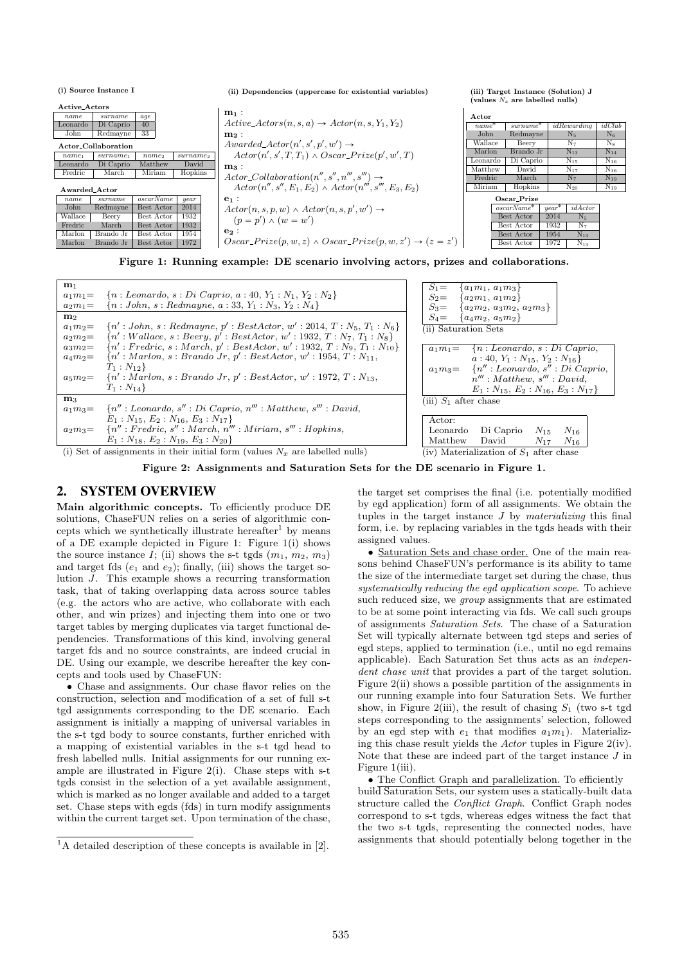| (i) Source Instance I |             |                   |               | (ii)<br>Dependencies (uppercase for existential variables)                 | Target Instance (Solution) J<br>(iii)<br>(values $N_x$ are labelled nulls) |                   |                        |                   |
|-----------------------|-------------|-------------------|---------------|----------------------------------------------------------------------------|----------------------------------------------------------------------------|-------------------|------------------------|-------------------|
| <b>Active_Actors</b>  |             |                   |               |                                                                            |                                                                            |                   |                        |                   |
| name                  | surname     | age               |               | $m_1$ :                                                                    | Actor                                                                      |                   |                        |                   |
| Leonardo              | Di Caprio   | 40                |               | $Active\_Atoms(n, s, a) \rightarrow Actor(n, s, Y_1, Y_2)$                 | $name^*$                                                                   | $sumame*$         | idRewarding            | idClub            |
| John                  | Redmayne    | 33                |               | $m_2$ :                                                                    | John                                                                       | Redmayne          | N <sub>5</sub>         | N <sub>6</sub>    |
| Actor_Collaboration   |             |                   |               | $Awarded\_Actor(n', s', p', w') \rightarrow$                               | Wallace                                                                    | Beery             | N <sub>7</sub>         | $N_8$             |
| $name_1$              | $surname_1$ | name <sub>2</sub> | $surname_{2}$ | $Actor(n', s', T, T_1) \wedge Oscar\_Prize(p', w', T)$                     | Marlon                                                                     | Brando Jr         | $N_{13}$               | $N_{14}$          |
| Leonardo              | Di Caprio   | Matthew           | David         |                                                                            | $\rm Leonardo$                                                             | Di Caprio         | $N_{15}$               | $N_{16}$          |
| Fredric               | March       | Miriam            | Hopkins       | $m_3$ :                                                                    | Matthew                                                                    | David             | $N_{17}$               | $\mathrm{N_{16}}$ |
|                       |             |                   |               | $Actor\_Collaboration(n'', s'', n''', s''') \rightarrow$                   | Fredric                                                                    | March             | N <sub>7</sub>         | $N_{19}$          |
| Awarded_Actor         |             |                   |               | $Action(n'', s'', E_1, E_2) \wedge Actor(n''', s''', E_3, E_2)$            | Miriam                                                                     | Hopkins           | $N_{20}$               | $N_{19}$          |
| name                  | surname     | oscarName         | year          | $e_1$ :                                                                    |                                                                            | Oscar_Prize       |                        |                   |
| John                  | Redmayne    | Best Actor        | 2014          | $Actor(n, s, p, w) \wedge Actor(n, s, p', w') \rightarrow$                 |                                                                            | $oscarName^*$     | $year*$<br>idAction    |                   |
| Wallace               | Beery       | Best Actor        | 1932          | $(p = p') \wedge (w = w')$                                                 |                                                                            | <b>Best Actor</b> | N <sub>5</sub><br>2014 |                   |
| Fredric               | March       | Best Actor        | 1932          |                                                                            |                                                                            | Best Actor        | $N_7$<br>1932          |                   |
| Marlon                | Brando Jr   | Best Actor        | 1954          | $e_2$ :                                                                    |                                                                            | Best Actor        | $N_{13}$<br>1954       |                   |
| Marlon                | Brando Jr   | Best Actor        | 1972          | $Oscar\_Price(p, w, z) \wedge Oscar\_Price(p, w, z') \rightarrow (z = z')$ |                                                                            | Best Actor        | $N_{13}$<br>1972       |                   |

Figure 1: Running example: DE scenario involving actors, prizes and collaborations.

| m <sub>1</sub> |                                                                                             | $S_1 =$<br>$\{a_1m_1, a_1m_3\}$                          |
|----------------|---------------------------------------------------------------------------------------------|----------------------------------------------------------|
| $a_1 m_1 =$    | ${n: Leonardo, s: Di Caprio, a: 40, Y_1: N_1, Y_2: N_2}$                                    | $S_2=$<br>$\{a_2m_1, a_1m_2\}$                           |
| $a_2m_1 =$     | ${n: John, s: Redmayne, a: 33, Y_1: N_3, Y_2: N_4}$                                         | $S_3=$<br>$\{a_2m_2, a_3m_2, a_2m_3\}$                   |
| m <sub>2</sub> |                                                                                             | $S_4=$<br>$\{a_4m_2, a_5m_2\}$                           |
| $a_1 m_2 =$    | ${n' : John, s : Redmayne, p' : Best Actor, w' : 2014, T : N_5, T_1 : N_6}$                 | (ii) Saturation Sets                                     |
| $a_2m_2=$      | ${n':Wallace, s: Beery, p': Best Actor, w': 1932, T: N7, T1: N8}$                           |                                                          |
| $a_3m_2=$      | ${n':Fredric, s:March, p': BestActor, w': 1932, T:N_9, T_1:N_{10}}$                         | ${n: Leonardo, s: Di Caprio,$<br>$a_1m_1=$               |
| $a_4m_2=$      | $\{n' : \text{Marlon}, s : \text{Brando Jr}, p' : \text{BestActor}, w' : 1954, T : N_{11},$ | $a: 40, Y_1: N_{15}, Y_2: N_{16}$                        |
|                | $T_1$ : $N_{12}$                                                                            | ${n'' : Leonardo, s'' : Di Caprio,$<br>$a_1m_3=$         |
| $a_5 m_2 =$    | ${n' : \text{Marlon}, s : \text{Brando Jr}, p' : \text{BestActor}, w' : 1972, T : N_{13},}$ | n''': Matthew, s''': David,                              |
|                | $T_1$ : $N_{14}$ }                                                                          | $E_1$ : $N_{15}$ , $E_2$ : $N_{16}$ , $E_3$ : $N_{17}$ } |
| $\mathbf{m}_3$ |                                                                                             | (iii) $S_1$ after chase                                  |
| $a_1 m_3 =$    | $\{n'' : Leonardo, s'' : Di Caprio, n''' : Matthew, s''' : David,$                          |                                                          |
|                | $E_1$ : $N_{15}$ , $E_2$ : $N_{16}$ , $E_3$ : $N_{17}$ }                                    | Actor:                                                   |
| $a_2m_3 =$     | $\{n'' : Frederick, s'' : March, n''' : Miriam, s''' : Hopkins,$                            | Leonardo<br>Di Caprio<br>$N_{16}$<br>$N_{15}$            |
|                | $E_1$ : $N_{18}$ , $E_2$ : $N_{19}$ , $E_3$ : $N_{20}$ }                                    | Matthew<br>David<br>$N_{16}$<br>$N_{17}$                 |
|                | (i) Set of assignments in their initial form (values $N_x$ are labelled nulls)              | (iv) Materialization of $S_1$ after chase                |

Figure 2: Assignments and Saturation Sets for the DE scenario in Figure 1.

## 2. SYSTEM OVERVIEW

Main algorithmic concepts. To efficiently produce DE solutions, ChaseFUN relies on a series of algorithmic concepts which we synthetically illustrate hereafter<sup>1</sup> by means of a DE example depicted in Figure 1: Figure 1(i) shows the source instance I; (ii) shows the s-t tgds  $(m_1, m_2, m_3)$ and target fds  $(e_1 \text{ and } e_2)$ ; finally, (iii) shows the target solution J. This example shows a recurring transformation task, that of taking overlapping data across source tables (e.g. the actors who are active, who collaborate with each other, and win prizes) and injecting them into one or two target tables by merging duplicates via target functional dependencies. Transformations of this kind, involving general target fds and no source constraints, are indeed crucial in DE. Using our example, we describe hereafter the key concepts and tools used by ChaseFUN:

• Chase and assignments. Our chase flavor relies on the construction, selection and modification of a set of full s-t tgd assignments corresponding to the DE scenario. Each assignment is initially a mapping of universal variables in the s-t tgd body to source constants, further enriched with a mapping of existential variables in the s-t tgd head to fresh labelled nulls. Initial assignments for our running example are illustrated in Figure 2(i). Chase steps with s-t tgds consist in the selection of a yet available assignment, which is marked as no longer available and added to a target set. Chase steps with egds (fds) in turn modify assignments within the current target set. Upon termination of the chase,

the target set comprises the final (i.e. potentially modified by egd application) form of all assignments. We obtain the tuples in the target instance J by materializing this final form, i.e. by replacing variables in the tgds heads with their assigned values.

• Saturation Sets and chase order. One of the main reasons behind ChaseFUN's performance is its ability to tame the size of the intermediate target set during the chase, thus systematically reducing the egd application scope. To achieve such reduced size, we group assignments that are estimated to be at some point interacting via fds. We call such groups of assignments Saturation Sets. The chase of a Saturation Set will typically alternate between tgd steps and series of egd steps, applied to termination (i.e., until no egd remains applicable). Each Saturation Set thus acts as an independent chase unit that provides a part of the target solution. Figure 2(ii) shows a possible partition of the assignments in our running example into four Saturation Sets. We further show, in Figure 2(iii), the result of chasing  $S_1$  (two s-t tgd steps corresponding to the assignments' selection, followed by an egd step with  $e_1$  that modifies  $a_1m_1$ ). Materializing this chase result yields the Actor tuples in Figure 2(iv). Note that these are indeed part of the target instance J in Figure 1(iii).

• The Conflict Graph and parallelization. To efficiently build Saturation Sets, our system uses a statically-built data structure called the Conflict Graph. Conflict Graph nodes correspond to s-t tgds, whereas edges witness the fact that the two s-t tgds, representing the connected nodes, have assignments that should potentially belong together in the

 $1A$  detailed description of these concepts is available in [2].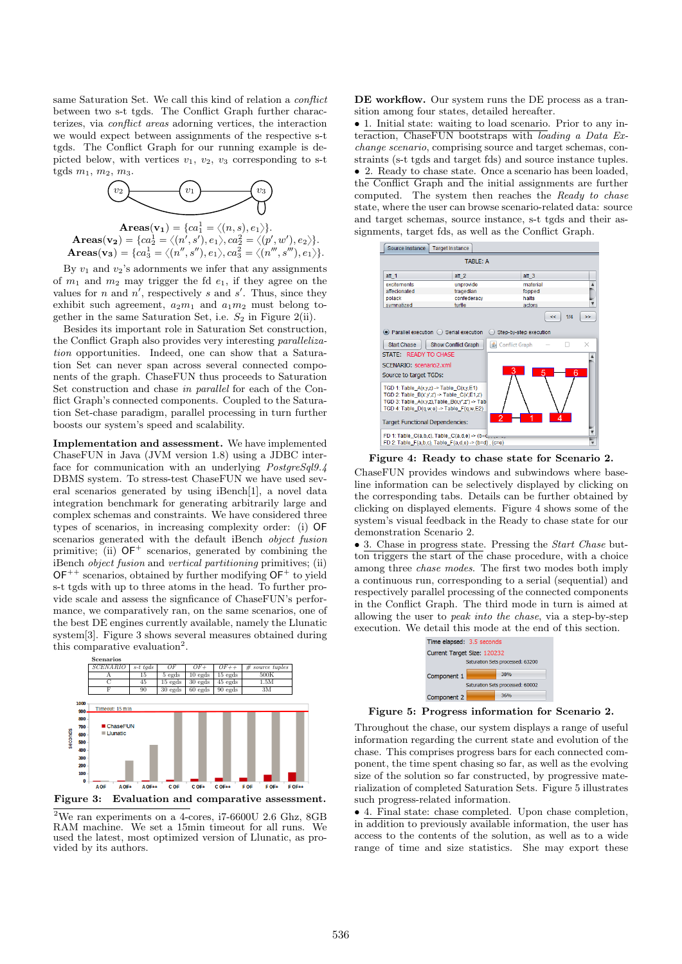same Saturation Set. We call this kind of relation a conflict between two s-t tgds. The Conflict Graph further characterizes, via conflict areas adorning vertices, the interaction we would expect between assignments of the respective s-t tgds. The Conflict Graph for our running example is depicted below, with vertices  $v_1, v_2, v_3$  corresponding to s-t tgds  $m_1$ ,  $m_2$ ,  $m_3$ .



 $\mathbf{Areas(v_1)}=\{ca_1^1=\langle(n,s),e_1\rangle\}.$  $\mathbf{Areas(v_2)}=\{ca_2^1=\langle(n',s'),e_1\rangle,ca_2^2=\langle(p',w'),e_2\rangle\}.$  $\mathbf{Areas(v_3)}=\{ca^1_3=\langle(n'',s''),e_1\rangle,ca^2_3=\langle(n''',s'''),e_1\rangle\}.$ 

By  $v_1$  and  $v_2$ 's adornments we infer that any assignments of  $m_1$  and  $m_2$  may trigger the fd  $e_1$ , if they agree on the values for n and  $n'$ , respectively s and s'. Thus, since they exhibit such agreement,  $a_2m_1$  and  $a_1m_2$  must belong together in the same Saturation Set, i.e.  $S_2$  in Figure 2(ii).

Besides its important role in Saturation Set construction, the Conflict Graph also provides very interesting parallelization opportunities. Indeed, one can show that a Saturation Set can never span across several connected components of the graph. ChaseFUN thus proceeds to Saturation Set construction and chase in parallel for each of the Conflict Graph's connected components. Coupled to the Saturation Set-chase paradigm, parallel processing in turn further boosts our system's speed and scalability.

Implementation and assessment. We have implemented ChaseFUN in Java (JVM version 1.8) using a JDBC interface for communication with an underlying  $Postgresql9.4$ DBMS system. To stress-test ChaseFUN we have used several scenarios generated by using iBench[1], a novel data integration benchmark for generating arbitrarily large and complex schemas and constraints. We have considered three types of scenarios, in increasing complexity order: (i) OF scenarios generated with the default iBench object fusion primitive; (ii)  $\mathsf{OF}^+$  scenarios, generated by combining the iBench object fusion and vertical partitioning primitives; (ii)  $OF^{++}$  scenarios, obtained by further modifying  $OF^{+}$  to yield s-t tgds with up to three atoms in the head. To further provide scale and assess the signficance of ChaseFUN's performance, we comparatively ran, on the same scenarios, one of the best DE engines currently available, namely the Llunatic system[3]. Figure 3 shows several measures obtained during this comparative evaluation<sup>2</sup>.



 $2$ We ran experiments on a 4-cores, i7-6600U 2.6 Ghz, 8GB RAM machine. We set a 15min timeout for all runs. We used the latest, most optimized version of Llunatic, as provided by its authors.

DE workflow. Our system runs the DE process as a transition among four states, detailed hereafter.

• 1. Initial state: waiting to load scenario. Prior to any interaction, ChaseFUN bootstraps with loading a Data Exchange scenario, comprising source and target schemas, constraints (s-t tgds and target fds) and source instance tuples. • 2. Ready to chase state. Once a scenario has been loaded, the Conflict Graph and the initial assignments are further computed. The system then reaches the Ready to chase state, where the user can browse scenario-related data: source and target schemas, source instance, s-t tgds and their assignments, target fds, as well as the Conflict Graph.



Figure 4: Ready to chase state for Scenario 2. ChaseFUN provides windows and subwindows where baseline information can be selectively displayed by clicking on the corresponding tabs. Details can be further obtained by clicking on displayed elements. Figure 4 shows some of the system's visual feedback in the Ready to chase state for our demonstration Scenario 2.

• 3. Chase in progress state. Pressing the Start Chase button triggers the start of the chase procedure, with a choice among three chase modes. The first two modes both imply a continuous run, corresponding to a serial (sequential) and respectively parallel processing of the connected components in the Conflict Graph. The third mode in turn is aimed at allowing the user to peak into the chase, via a step-by-step execution. We detail this mode at the end of this section.



Figure 5: Progress information for Scenario 2.

Throughout the chase, our system displays a range of useful information regarding the current state and evolution of the chase. This comprises progress bars for each connected component, the time spent chasing so far, as well as the evolving size of the solution so far constructed, by progressive materialization of completed Saturation Sets. Figure 5 illustrates such progress-related information.

• 4. Final state: chase completed. Upon chase completion, in addition to previously available information, the user has access to the contents of the solution, as well as to a wide range of time and size statistics. She may export these